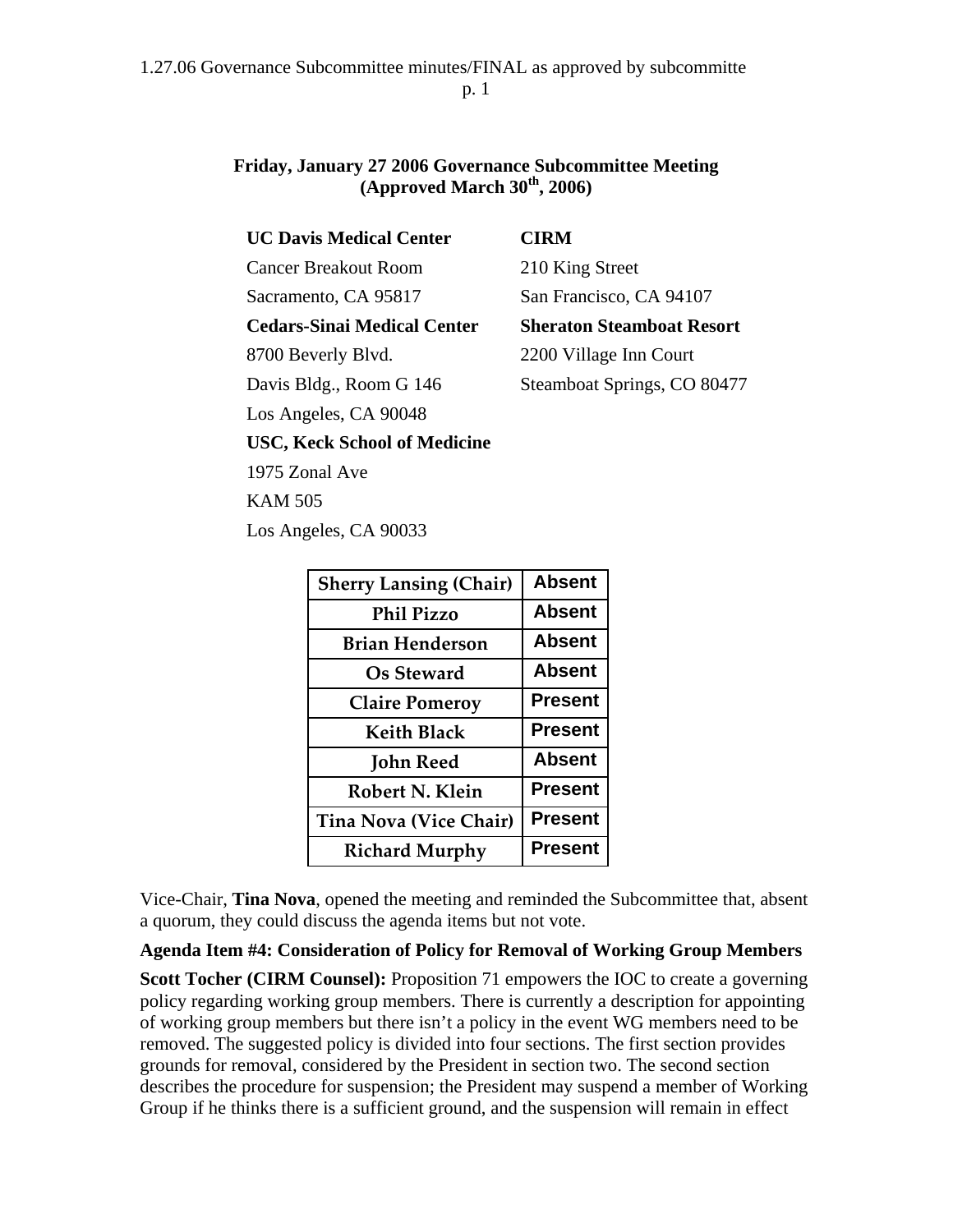## **Friday, January 27 2006 Governance Subcommittee Meeting (Approved March 30th, 2006)**

| <b>UC Davis Medical Center</b>                                                | <b>CIRM</b>                      |
|-------------------------------------------------------------------------------|----------------------------------|
| <b>Cancer Breakout Room</b>                                                   | 210 King Street                  |
| Sacramento, CA 95817                                                          | San Francisco, CA 94107          |
| <b>Cedars-Sinai Medical Center</b>                                            | <b>Sheraton Steamboat Resort</b> |
| 8700 Beverly Blvd.                                                            | 2200 Village Inn Court           |
| Davis Bldg., Room G 146                                                       | Steamboat Springs, CO 80477      |
| Los Angeles, CA 90048                                                         |                                  |
| $\mathbf{r}$ $\mathbf{r}$ $\mathbf{r}$ $\mathbf{r}$ $\mathbf{r}$ $\mathbf{r}$ |                                  |

**USC, Keck School of Medicine** 

1975 Zonal Ave

KAM 505

Los Angeles, CA 90033

| <b>Sherry Lansing (Chair)</b> | <b>Absent</b>  |
|-------------------------------|----------------|
| <b>Phil Pizzo</b>             | <b>Absent</b>  |
| <b>Brian Henderson</b>        | <b>Absent</b>  |
| Os Steward                    | <b>Absent</b>  |
| <b>Claire Pomeroy</b>         | <b>Present</b> |
| <b>Keith Black</b>            | <b>Present</b> |
| <b>John Reed</b>              | <b>Absent</b>  |
| Robert N. Klein               | <b>Present</b> |
| <b>Tina Nova (Vice Chair)</b> | <b>Present</b> |
| <b>Richard Murphy</b>         | <b>Present</b> |

Vice-Chair, **Tina Nova**, opened the meeting and reminded the Subcommittee that, absent a quorum, they could discuss the agenda items but not vote.

## **Agenda Item #4: Consideration of Policy for Removal of Working Group Members**

**Scott Tocher (CIRM Counsel):** Proposition 71 empowers the IOC to create a governing policy regarding working group members. There is currently a description for appointing of working group members but there isn't a policy in the event WG members need to be removed. The suggested policy is divided into four sections. The first section provides grounds for removal, considered by the President in section two. The second section describes the procedure for suspension; the President may suspend a member of Working Group if he thinks there is a sufficient ground, and the suspension will remain in effect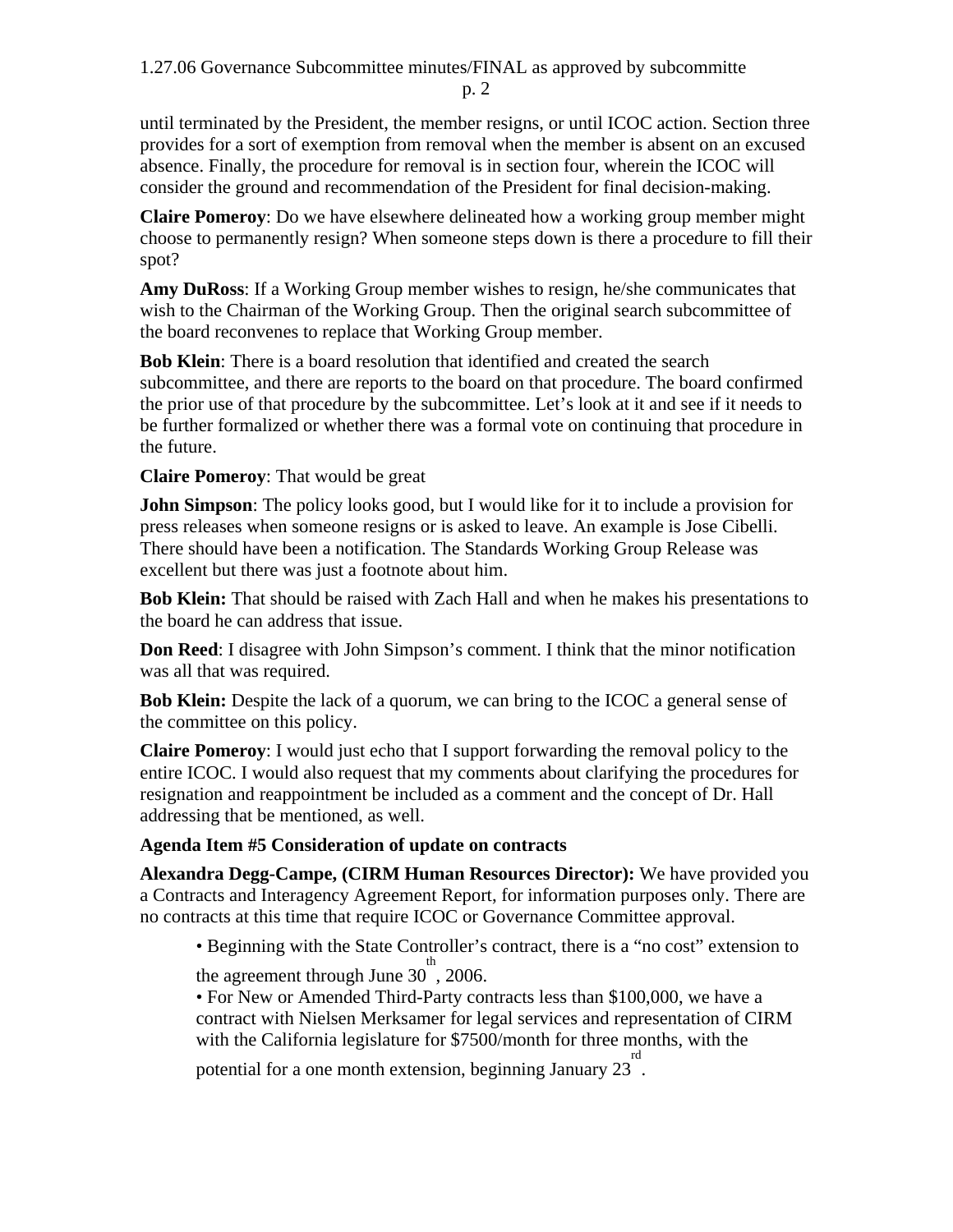until terminated by the President, the member resigns, or until ICOC action. Section three provides for a sort of exemption from removal when the member is absent on an excused absence. Finally, the procedure for removal is in section four, wherein the ICOC will consider the ground and recommendation of the President for final decision-making.

**Claire Pomeroy**: Do we have elsewhere delineated how a working group member might choose to permanently resign? When someone steps down is there a procedure to fill their spot?

**Amy DuRoss**: If a Working Group member wishes to resign, he/she communicates that wish to the Chairman of the Working Group. Then the original search subcommittee of the board reconvenes to replace that Working Group member.

**Bob Klein**: There is a board resolution that identified and created the search subcommittee, and there are reports to the board on that procedure. The board confirmed the prior use of that procedure by the subcommittee. Let's look at it and see if it needs to be further formalized or whether there was a formal vote on continuing that procedure in the future.

**Claire Pomeroy**: That would be great

**John Simpson**: The policy looks good, but I would like for it to include a provision for press releases when someone resigns or is asked to leave. An example is Jose Cibelli. There should have been a notification. The Standards Working Group Release was excellent but there was just a footnote about him.

**Bob Klein:** That should be raised with Zach Hall and when he makes his presentations to the board he can address that issue.

**Don Reed**: I disagree with John Simpson's comment. I think that the minor notification was all that was required.

**Bob Klein:** Despite the lack of a quorum, we can bring to the ICOC a general sense of the committee on this policy.

**Claire Pomeroy**: I would just echo that I support forwarding the removal policy to the entire ICOC. I would also request that my comments about clarifying the procedures for resignation and reappointment be included as a comment and the concept of Dr. Hall addressing that be mentioned, as well.

## **Agenda Item #5 Consideration of update on contracts**

**Alexandra Degg-Campe, (CIRM Human Resources Director):** We have provided you a Contracts and Interagency Agreement Report, for information purposes only. There are no contracts at this time that require ICOC or Governance Committee approval.

• Beginning with the State Controller's contract, there is a "no cost" extension to the agreement through June  $30^{\text{th}}$ , 2006.

• For New or Amended Third-Party contracts less than \$100,000, we have a contract with Nielsen Merksamer for legal services and representation of CIRM with the California legislature for \$7500/month for three months, with the

potential for a one month extension, beginning January  $23^{\text{rd}}$ .